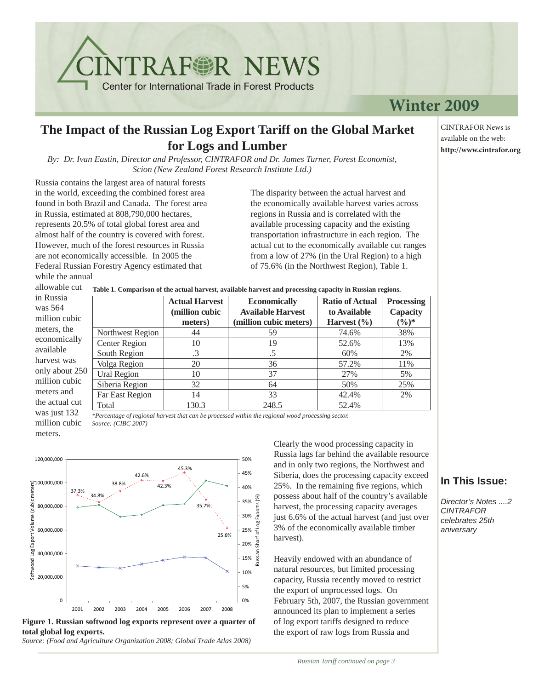## **Winter 2009**

## **The Impact of the Russian Log Export Tariff on the Global Market for Logs and Lumber**

*By: Dr. Ivan Eastin, Director and Professor, CINTRAFOR and Dr. James Turner, Forest Economist, Scion (New Zealand Forest Research Institute Ltd.)*

**NTRAFGR NEWS** 

Center for International Trade in Forest Products

Russia contains the largest area of natural forests in the world, exceeding the combined forest area found in both Brazil and Canada. The forest area in Russia, estimated at 808,790,000 hectares, represents 20.5% of total global forest area and almost half of the country is covered with forest. However, much of the forest resources in Russia are not economically accessible. In 2005 the Federal Russian Forestry Agency estimated that while the annual

the a was just 132 million cubic meters.

The disparity between the actual harvest and the economically available harvest varies across regions in Russia and is correlated with the available processing capacity and the existing transportation infrastructure in each region. The actual cut to the economically available cut ranges from a low of 27% (in the Ural Region) to a high of 75.6% (in the Northwest Region), Table 1.

allowable cut **Table 1. Comparison of the actual harvest, available harvest and processing capacity in Russian regions.**

| in Russia      |                  | <b>Actual Harvest</b> | <b>Economically</b>      | <b>Ratio of Actual</b> | <b>Processing</b> |
|----------------|------------------|-----------------------|--------------------------|------------------------|-------------------|
| was $564$      |                  | (million cubic        | <b>Available Harvest</b> | to Available           | Capacity          |
| million cubic  |                  | meters)               | (million cubic meters)   | Harvest $(\% )$        | $(\%)^*$          |
| meters, the    | Northwest Region | 44                    | 59                       | 74.6%                  | 38%               |
| economically   | Center Region    | 10                    | 19                       | 52.6%                  | 13%               |
| available      | South Region     | $\cdot$ 3             | .5                       | 60%                    | 2%                |
| harvest was    | Volga Region     | 20                    | 36                       | 57.2%                  | 11%               |
| only about 250 | Ural Region      | 10                    | 37                       | 27%                    | 5%                |
| million cubic  | Siberia Region   | 32                    | 64                       | 50%                    | 25%               |
| meters and     | Far East Region  | 14                    | 33                       | 42.4%                  | 2%                |
| the actual cut | Total            | 130.3                 | 248.5                    | 52.4%                  |                   |

*\*Percentage of regional harvest that can be processed within the regional wood processing sector. Source: (CIBC 2007)*



**Figure 1. Russian softwood log exports represent over a quarter of total global log exports.**

*Source: (Food and Agriculture Organization 2008; Global Trade Atlas 2008)*

Clearly the wood processing capacity in Russia lags far behind the available resource and in only two regions, the Northwest and Siberia, does the processing capacity exceed 25%. In the remaining five regions, which possess about half of the country's available harvest, the processing capacity averages just 6.6% of the actual harvest (and just over 3% of the economically available timber harvest).

Heavily endowed with an abundance of natural resources, but limited processing capacity, Russia recently moved to restrict the export of unprocessed logs. On February 5th, 2007, the Russian government announced its plan to implement a series of log export tariffs designed to reduce the export of raw logs from Russia and

### **In This Issue:**

*Director's Notes ....2 CINTRAFOR celebrates 25th aniversary*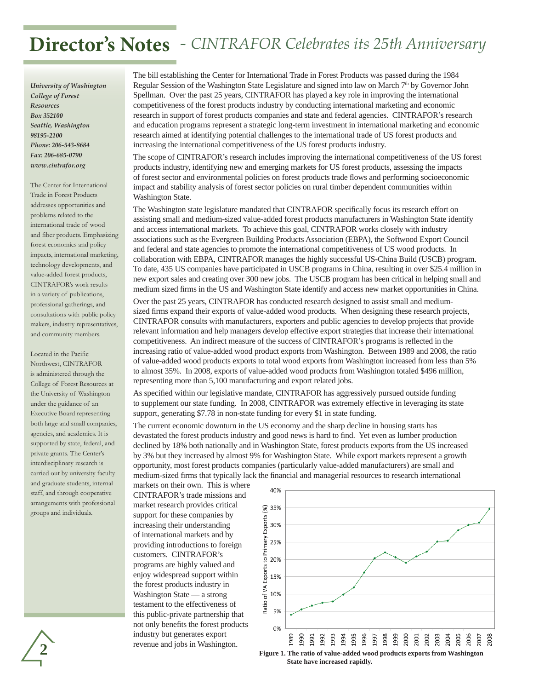# **Director's Notes**  *- CINTRAFOR Celebrates its 25th Anniversary*

*University of Washington College of Forest Resources Box 352100 Seattle, Washington 98195-2100 Phone: 206-543-8684 Fax: 206-685-0790 www.cintrafor.org*

The Center for International Trade in Forest Products addresses opportunities and problems related to the international trade of wood and fiber products. Emphasizing forest economics and policy impacts, international marketing, technology developments, and value-added forest products, CINTRAFOR's work results in a variety of publications, professional gatherings, and consultations with public policy makers, industry representatives, and community members.

Located in the Pacific Northwest, CINTRAFOR is administered through the College of Forest Resources at the University of Washington under the guidance of an Executive Board representing both large and small companies, agencies, and academics. It is supported by state, federal, and private grants. The Center's interdisciplinary research is carried out by university faculty and graduate students, internal staff, and through cooperative arrangements with professional groups and individuals.

The bill establishing the Center for International Trade in Forest Products was passed during the 1984 Regular Session of the Washington State Legislature and signed into law on March 7<sup>th</sup> by Governor John Spellman. Over the past 25 years, CINTRAFOR has played a key role in improving the international competitiveness of the forest products industry by conducting international marketing and economic research in support of forest products companies and state and federal agencies. CINTRAFOR's research and education programs represent a strategic long-term investment in international marketing and economic research aimed at identifying potential challenges to the international trade of US forest products and increasing the international competitiveness of the US forest products industry.

The scope of CINTRAFOR's research includes improving the international competitiveness of the US forest products industry, identifying new and emerging markets for US forest products, assessing the impacts of forest sector and environmental policies on forest products trade flows and performing socioeconomic impact and stability analysis of forest sector policies on rural timber dependent communities within Washington State.

The Washington state legislature mandated that CINTRAFOR specifically focus its research effort on assisting small and medium-sized value-added forest products manufacturers in Washington State identify and access international markets. To achieve this goal, CINTRAFOR works closely with industry associations such as the Evergreen Building Products Association (EBPA), the Softwood Export Council and federal and state agencies to promote the international competitiveness of US wood products. In collaboration with EBPA, CINTRAFOR manages the highly successful US-China Build (USCB) program. To date, 435 US companies have participated in USCB programs in China, resulting in over \$25.4 million in new export sales and creating over 300 new jobs. The USCB program has been critical in helping small and medium sized firms in the US and Washington State identify and access new market opportunities in China.

Over the past 25 years, CINTRAFOR has conducted research designed to assist small and mediumsized firms expand their exports of value-added wood products. When designing these research projects, CINTRAFOR consults with manufacturers, exporters and public agencies to develop projects that provide relevant information and help managers develop effective export strategies that increase their international competitiveness. An indirect measure of the success of CINTRAFOR's programs is reflected in the increasing ratio of value-added wood product exports from Washington. Between 1989 and 2008, the ratio of value-added wood products exports to total wood exports from Washington increased from less than 5% to almost 35%. In 2008, exports of value-added wood products from Washington totaled \$496 million, representing more than 5,100 manufacturing and export related jobs.

As specified within our legislative mandate, CINTRAFOR has aggressively pursued outside funding to supplement our state funding. In 2008, CINTRAFOR was extremely effective in leveraging its state support, generating \$7.78 in non-state funding for every \$1 in state funding.

The current economic downturn in the US economy and the sharp decline in housing starts has devastated the forest products industry and good news is hard to find. Yet even as lumber production declined by 18% both nationally and in Washington State, forest products exports from the US increased by 3% but they increased by almost 9% for Washington State. While export markets represent a growth opportunity, most forest products companies (particularly value-added manufacturers) are small and medium-sized firms that typically lack the financial and managerial resources to research international

markets on their own. This is where CINTRAFOR's trade missions and market research provides critical support for these companies by increasing their understanding of international markets and by providing introductions to foreign customers. CINTRAFOR's programs are highly valued and enjoy widespread support within the forest products industry in Washington State — a strong testament to the effectiveness of this public-private partnership that not only benefits the forest products industry but generates export revenue and jobs in Washington.



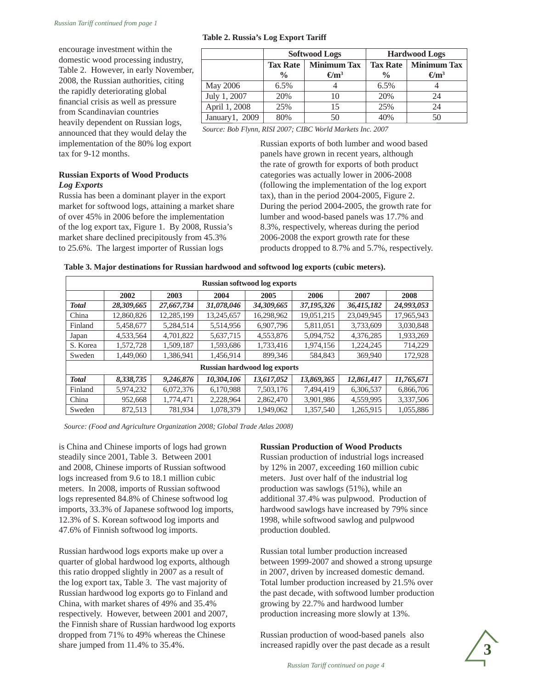| encourage investment within the                                           |                                                            | <b>Softwood Logs</b> |                         | <b>Hardwood Logs</b> |                         |  |
|---------------------------------------------------------------------------|------------------------------------------------------------|----------------------|-------------------------|----------------------|-------------------------|--|
| domestic wood processing industry,                                        |                                                            | <b>Tax Rate</b>      | <b>Minimum Tax</b>      | <b>Tax Rate</b>      | Minimum Tax             |  |
| Table 2. However, in early November,                                      |                                                            | $\frac{0}{0}$        | $\Theta$ m <sup>3</sup> | $\frac{6}{6}$        | $\Theta$ m <sup>3</sup> |  |
| 2008, the Russian authorities, citing                                     |                                                            |                      |                         |                      |                         |  |
|                                                                           | May 2006                                                   | $6.5\%$              | 4                       | $6.5\%$              |                         |  |
| the rapidly deteriorating global                                          | July 1, 2007                                               | 20%                  | 10                      | 20%                  | 24                      |  |
| financial crisis as well as pressure                                      |                                                            |                      |                         |                      |                         |  |
| from Scandinavian countries                                               | April 1, 2008                                              | 25%                  | 15                      | 25%                  | 24                      |  |
|                                                                           | January $1, 2009$                                          | 80%                  | 50                      | 40%                  | 50                      |  |
| heavily dependent on Russian logs,<br>onnounged that they would delay the | Source: Bob Flynn, RISI 2007; CIBC World Markets Inc. 2007 |                      |                         |                      |                         |  |
|                                                                           |                                                            |                      |                         |                      |                         |  |

**Table 2. Russia's Log Export Tariff**

announced that they would delay the implementation of the 80% log export tax for 9-12 months.

#### **Russian Exports of Wood Products** *Log Exports*

Russia has been a dominant player in the export market for softwood logs, attaining a market share of over 45% in 2006 before the implementation of the log export tax, Figure 1. By 2008, Russia's market share declined precipitously from 45.3% to 25.6%. The largest importer of Russian logs

Russian exports of both lumber and wood based panels have grown in recent years, although the rate of growth for exports of both product categories was actually lower in 2006-2008 (following the implementation of the log export tax), than in the period 2004-2005, Figure 2. During the period 2004-2005, the growth rate for lumber and wood-based panels was 17.7% and 8.3%, respectively, whereas during the period 2006-2008 the export growth rate for these products dropped to 8.7% and 5.7%, respectively.

| Table 3. Major destinations for Russian hardwood and softwood log exports (cubic meters). |  |
|-------------------------------------------------------------------------------------------|--|
|-------------------------------------------------------------------------------------------|--|

| <b>Russian softwood log exports</b> |            |            |            |            |            |            |            |
|-------------------------------------|------------|------------|------------|------------|------------|------------|------------|
|                                     | 2002       | 2003       | 2004       | 2005       | 2006       | 2007       | 2008       |
| <b>Total</b>                        | 28,309,665 | 27,667,734 | 31,078,046 | 34,309,665 | 37,195,326 | 36,415,182 | 24,993,053 |
| China                               | 12,860,826 | 12.285.199 | 13.245.657 | 16.298.962 | 19.051.215 | 23,049,945 | 17,965,943 |
| Finland                             | 5,458,677  | 5,284,514  | 5,514,956  | 6.907.796  | 5,811,051  | 3,733,609  | 3,030,848  |
| Japan                               | 4,533,564  | 4,701,822  | 5,637,715  | 4.553.876  | 5,094,752  | 4,376,285  | 1,933,269  |
| S. Korea                            | 1,572,728  | 1,509,187  | 1,593,686  | 1.733.416  | 1,974,156  | 1,224,245  | 714,229    |
| Sweden                              | 1,449,060  | 1,386,941  | 1,456,914  | 899,346    | 584,843    | 369,940    | 172,928    |
| <b>Russian hardwood log exports</b> |            |            |            |            |            |            |            |
| <b>Total</b>                        | 8,338,735  | 9,246,876  | 10,304,106 | 13,617,052 | 13,869,365 | 12,861,417 | 11,765,671 |
| Finland                             | 5,974,232  | 6,072,376  | 6,170,988  | 7,503,176  | 7.494.419  | 6,306,537  | 6,866,706  |
| China                               | 952,668    | 1,774,471  | 2,228,964  | 2,862,470  | 3,901,986  | 4,559,995  | 3,337,506  |
| Sweden                              | 872.513    | 781.934    | 1.078.379  | 1.949.062  | 1.357.540  | 1.265.915  | 1,055,886  |

*Source: (Food and Agriculture Organization 2008; Global Trade Atlas 2008)*

is China and Chinese imports of logs had grown steadily since 2001, Table 3. Between 2001 and 2008, Chinese imports of Russian softwood logs increased from 9.6 to 18.1 million cubic meters. In 2008, imports of Russian softwood logs represented 84.8% of Chinese softwood log imports, 33.3% of Japanese softwood log imports, 12.3% of S. Korean softwood log imports and 47.6% of Finnish softwood log imports.

Russian hardwood logs exports make up over a quarter of global hardwood log exports, although this ratio dropped slightly in 2007 as a result of the log export tax, Table 3. The vast majority of Russian hardwood log exports go to Finland and China, with market shares of 49% and 35.4% respectively. However, between 2001 and 2007, the Finnish share of Russian hardwood log exports dropped from 71% to 49% whereas the Chinese share jumped from 11.4% to 35.4%.

#### **Russian Production of Wood Products**

Russian production of industrial logs increased by 12% in 2007, exceeding 160 million cubic meters. Just over half of the industrial log production was sawlogs (51%), while an additional 37.4% was pulpwood. Production of hardwood sawlogs have increased by 79% since 1998, while softwood sawlog and pulpwood production doubled.

Russian total lumber production increased between 1999-2007 and showed a strong upsurge in 2007, driven by increased domestic demand. Total lumber production increased by 21.5% over the past decade, with softwood lumber production growing by 22.7% and hardwood lumber production increasing more slowly at 13%.

Russian production of wood-based panels also increased rapidly over the past decade as a result

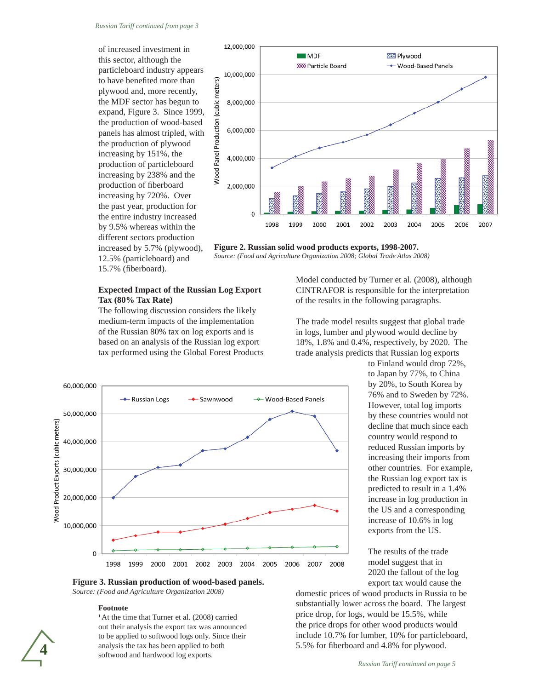12,000,000

10,000,000

8,000,000

6,000,000

4,000,000

2,000,000

 $\Omega$ 

1998

1999

2000

2001

Wood Panel Production (cubic meters)

 $\blacksquare$  MDF

**SSSS Particle Board** 

of increased investment in this sector, although the particleboard industry appears to have benefited more than plywood and, more recently, the MDF sector has begun to expand, Figure 3. Since 1999, the production of wood-based panels has almost tripled, with the production of plywood increasing by 151%, the production of particleboard increasing by 238% and the production of fiberboard increasing by 720%. Over the past year, production for the entire industry increased by 9.5% whereas within the different sectors production increased by 5.7% (plywood), 12.5% (particleboard) and 15.7% (fiberboard).



The following discussion considers the likely medium-term impacts of the implementation of the Russian 80% tax on log exports and is based on an analysis of the Russian log export tax performed using the Global Forest Products



2003

2004

2005

2006

2007

2002

**2223 Plywood** 

← Wood-Based Panels

CINTRAFOR is responsible for the interpretation of the results in the following paragraphs.

The trade model results suggest that global trade in logs, lumber and plywood would decline by 18%, 1.8% and 0.4%, respectively, by 2020. The trade analysis predicts that Russian log exports



to Finland would drop 72%, to Japan by 77%, to China by 20%, to South Korea by 76% and to Sweden by 72%. However, total log imports by these countries would not decline that much since each country would respond to reduced Russian imports by increasing their imports from other countries. For example, the Russian log export tax is predicted to result in a 1.4% increase in log production in the US and a corresponding increase of 10.6% in log exports from the US.

The results of the trade model suggest that in 2020 the fallout of the log export tax would cause the

**Figure 3. Russian production of wood-based panels.** *Source: (Food and Agriculture Organization 2008)*

#### **Footnote**

**<sup>1</sup>**At the time that Turner et al. (2008) carried out their analysis the export tax was announced to be applied to softwood logs only. Since their analysis the tax has been applied to both softwood and hardwood log exports.

domestic prices of wood products in Russia to be substantially lower across the board. The largest price drop, for logs, would be 15.5%, while the price drops for other wood products would include 10.7% for lumber, 10% for particleboard, 5.5% for fiberboard and 4.8% for plywood.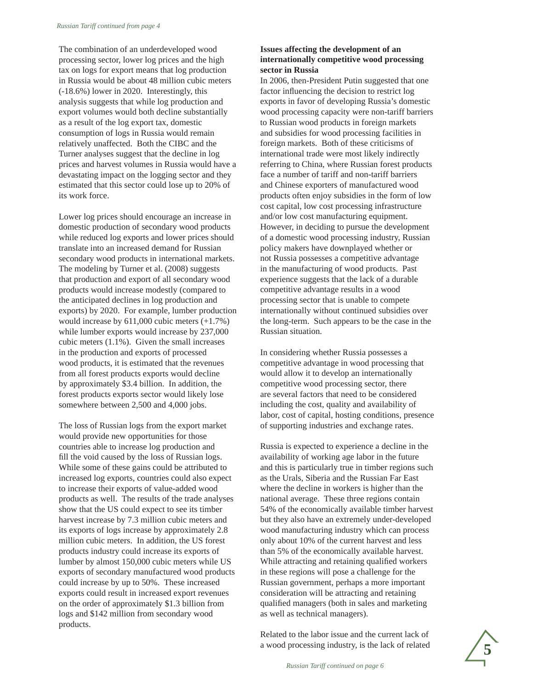The combination of an underdeveloped wood processing sector, lower log prices and the high tax on logs for export means that log production in Russia would be about 48 million cubic meters (-18.6%) lower in 2020. Interestingly, this analysis suggests that while log production and export volumes would both decline substantially as a result of the log export tax, domestic consumption of logs in Russia would remain relatively unaffected. Both the CIBC and the Turner analyses suggest that the decline in log prices and harvest volumes in Russia would have a devastating impact on the logging sector and they estimated that this sector could lose up to 20% of its work force.

Lower log prices should encourage an increase in domestic production of secondary wood products while reduced log exports and lower prices should translate into an increased demand for Russian secondary wood products in international markets. The modeling by Turner et al. (2008) suggests that production and export of all secondary wood products would increase modestly (compared to the anticipated declines in log production and exports) by 2020. For example, lumber production would increase by 611,000 cubic meters (+1.7%) while lumber exports would increase by 237,000 cubic meters (1.1%). Given the small increases in the production and exports of processed wood products, it is estimated that the revenues from all forest products exports would decline by approximately \$3.4 billion. In addition, the forest products exports sector would likely lose somewhere between 2,500 and 4,000 jobs.

The loss of Russian logs from the export market would provide new opportunities for those countries able to increase log production and fill the void caused by the loss of Russian logs. While some of these gains could be attributed to increased log exports, countries could also expect to increase their exports of value-added wood products as well. The results of the trade analyses show that the US could expect to see its timber harvest increase by 7.3 million cubic meters and its exports of logs increase by approximately 2.8 million cubic meters. In addition, the US forest products industry could increase its exports of lumber by almost 150,000 cubic meters while US exports of secondary manufactured wood products could increase by up to 50%. These increased exports could result in increased export revenues on the order of approximately \$1.3 billion from logs and \$142 million from secondary wood products.

#### **Issues affecting the development of an internationally competitive wood processing sector in Russia**

In 2006, then-President Putin suggested that one factor influencing the decision to restrict log exports in favor of developing Russia's domestic wood processing capacity were non-tariff barriers to Russian wood products in foreign markets and subsidies for wood processing facilities in foreign markets. Both of these criticisms of international trade were most likely indirectly referring to China, where Russian forest products face a number of tariff and non-tariff barriers and Chinese exporters of manufactured wood products often enjoy subsidies in the form of low cost capital, low cost processing infrastructure and/or low cost manufacturing equipment. However, in deciding to pursue the development of a domestic wood processing industry, Russian policy makers have downplayed whether or not Russia possesses a competitive advantage in the manufacturing of wood products. Past experience suggests that the lack of a durable competitive advantage results in a wood processing sector that is unable to compete internationally without continued subsidies over the long-term. Such appears to be the case in the Russian situation.

In considering whether Russia possesses a competitive advantage in wood processing that would allow it to develop an internationally competitive wood processing sector, there are several factors that need to be considered including the cost, quality and availability of labor, cost of capital, hosting conditions, presence of supporting industries and exchange rates.

Russia is expected to experience a decline in the availability of working age labor in the future and this is particularly true in timber regions such as the Urals, Siberia and the Russian Far East where the decline in workers is higher than the national average. These three regions contain 54% of the economically available timber harvest but they also have an extremely under-developed wood manufacturing industry which can process only about 10% of the current harvest and less than 5% of the economically available harvest. While attracting and retaining qualified workers in these regions will pose a challenge for the Russian government, perhaps a more important consideration will be attracting and retaining qualified managers (both in sales and marketing as well as technical managers).

Related to the labor issue and the current lack of a wood processing industry, is the lack of related

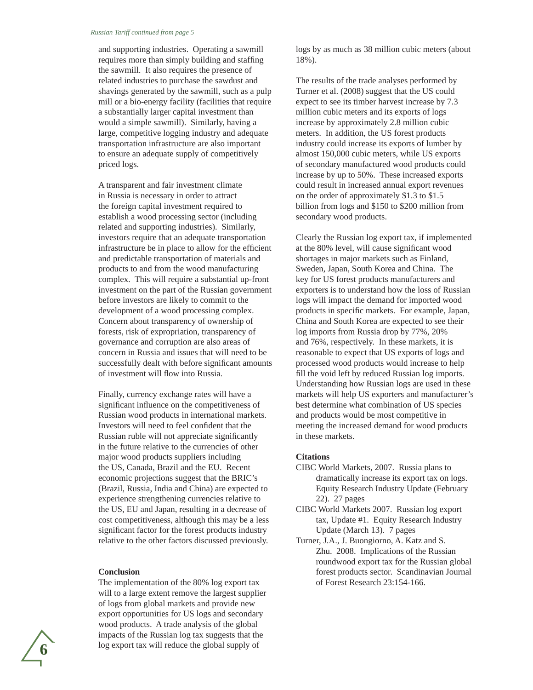#### *Russian Tariff continued from page 5*

and supporting industries. Operating a sawmill requires more than simply building and staffing the sawmill. It also requires the presence of related industries to purchase the sawdust and shavings generated by the sawmill, such as a pulp mill or a bio-energy facility (facilities that require a substantially larger capital investment than would a simple sawmill). Similarly, having a large, competitive logging industry and adequate transportation infrastructure are also important to ensure an adequate supply of competitively priced logs.

A transparent and fair investment climate in Russia is necessary in order to attract the foreign capital investment required to establish a wood processing sector (including related and supporting industries). Similarly, investors require that an adequate transportation infrastructure be in place to allow for the efficient and predictable transportation of materials and products to and from the wood manufacturing complex. This will require a substantial up-front investment on the part of the Russian government before investors are likely to commit to the development of a wood processing complex. Concern about transparency of ownership of forests, risk of expropriation, transparency of governance and corruption are also areas of concern in Russia and issues that will need to be successfully dealt with before significant amounts of investment will flow into Russia.

Finally, currency exchange rates will have a significant influence on the competitiveness of Russian wood products in international markets. Investors will need to feel confident that the Russian ruble will not appreciate significantly in the future relative to the currencies of other major wood products suppliers including the US, Canada, Brazil and the EU. Recent economic projections suggest that the BRIC's (Brazil, Russia, India and China) are expected to experience strengthening currencies relative to the US, EU and Japan, resulting in a decrease of cost competitiveness, although this may be a less significant factor for the forest products industry relative to the other factors discussed previously.

#### **Conclusion**

The implementation of the 80% log export tax will to a large extent remove the largest supplier of logs from global markets and provide new export opportunities for US logs and secondary wood products. A trade analysis of the global impacts of the Russian log tax suggests that the log export tax will reduce the global supply of

logs by as much as 38 million cubic meters (about 18%).

The results of the trade analyses performed by Turner et al. (2008) suggest that the US could expect to see its timber harvest increase by 7.3 million cubic meters and its exports of logs increase by approximately 2.8 million cubic meters. In addition, the US forest products industry could increase its exports of lumber by almost 150,000 cubic meters, while US exports of secondary manufactured wood products could increase by up to 50%. These increased exports could result in increased annual export revenues on the order of approximately \$1.3 to \$1.5 billion from logs and \$150 to \$200 million from secondary wood products.

Clearly the Russian log export tax, if implemented at the 80% level, will cause significant wood shortages in major markets such as Finland, Sweden, Japan, South Korea and China. The key for US forest products manufacturers and exporters is to understand how the loss of Russian logs will impact the demand for imported wood products in specific markets. For example, Japan, China and South Korea are expected to see their log imports from Russia drop by 77%, 20% and 76%, respectively. In these markets, it is reasonable to expect that US exports of logs and processed wood products would increase to help fill the void left by reduced Russian log imports. Understanding how Russian logs are used in these markets will help US exporters and manufacturer's best determine what combination of US species and products would be most competitive in meeting the increased demand for wood products in these markets.

#### **Citations**

- CIBC World Markets, 2007. Russia plans to dramatically increase its export tax on logs. Equity Research Industry Update (February 22). 27 pages
- CIBC World Markets 2007. Russian log export tax, Update #1. Equity Research Industry Update (March 13). 7 pages
- Turner, J.A., J. Buongiorno, A. Katz and S. Zhu. 2008. Implications of the Russian roundwood export tax for the Russian global forest products sector. Scandinavian Journal of Forest Research 23:154-166.

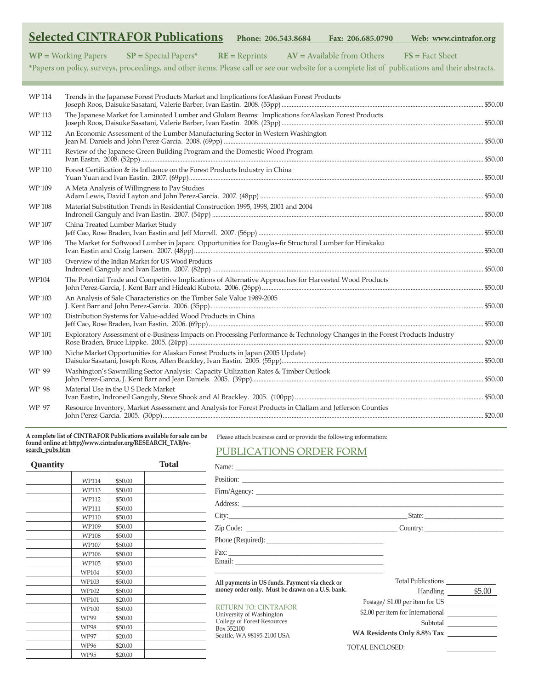|              | <b>Selected CINTRAFOR Publications</b><br>Phone: 206.543.8684<br>Fax: 206.685.0790<br>Web: www.cintrafor.org                                      |  |
|--------------|---------------------------------------------------------------------------------------------------------------------------------------------------|--|
|              | $WP = Working Papers$<br>$SP = Special Papers*$<br>$FS = Fact Sheet$<br>$RE = Reprints$<br>$AV = Available from Others$                           |  |
|              | *Papers on policy, surveys, proceedings, and other items. Please call or see our website for a complete list of publications and their abstracts. |  |
|              |                                                                                                                                                   |  |
| WP 114       | Trends in the Japanese Forest Products Market and Implications for Alaskan Forest Products                                                        |  |
| <b>WP113</b> | The Japanese Market for Laminated Lumber and Glulam Beams: Implications for Alaskan Forest Products                                               |  |
| <b>WP112</b> | An Economic Assessment of the Lumber Manufacturing Sector in Western Washington                                                                   |  |
| <b>WP111</b> | Review of the Japanese Green Building Program and the Domestic Wood Program                                                                       |  |
| WP 110       | Forest Certification & its Influence on the Forest Products Industry in China                                                                     |  |
| WP 109       | A Meta Analysis of Willingness to Pay Studies                                                                                                     |  |
| <b>WP108</b> | Material Substitution Trends in Residential Construction 1995, 1998, 2001 and 2004                                                                |  |
| WP 107       | China Treated Lumber Market Study                                                                                                                 |  |
| WP 106       | The Market for Softwood Lumber in Japan: Opportunities for Douglas-fir Structural Lumber for Hirakaku                                             |  |
| WP 105       | Overview of the Indian Market for US Wood Products                                                                                                |  |
| WP104        | The Potential Trade and Competitive Implications of Alternative Approaches for Harvested Wood Products                                            |  |
| WP 103       | An Analysis of Sale Characteristics on the Timber Sale Value 1989-2005                                                                            |  |
| WP 102       | Distribution Systems for Value-added Wood Products in China                                                                                       |  |
| WP 101       | Exploratory Assessment of e-Business Impacts on Processing Performance & Technology Changes in the Forest Products Industry                       |  |
| <b>WP100</b> | Niche Market Opportunities for Alaskan Forest Products in Japan (2005 Update)                                                                     |  |
| WP 99        | Washington's Sawmilling Sector Analysis: Capacity Utilization Rates & Timber Outlook                                                              |  |
| WP 98        | Material Use in the U S Deck Market                                                                                                               |  |
| WP 97        | Resource Inventory, Market Assessment and Analysis for Forest Products in Clallam and Jefferson Counties                                          |  |

**A complete list of CINTRAFOR Publications available for sale can be found online at: http://www.cintrafor.org/RESEARCH\_TAB/research\_pubs.htm**

Please attach business card or provide the following information:

### PUBLICATIONS ORDER FORM

| <b>Quantity</b> |             |         | <b>Total</b> |                                                                                                      |                                   |
|-----------------|-------------|---------|--------------|------------------------------------------------------------------------------------------------------|-----------------------------------|
|                 | WP114       | \$50.00 |              | Position:                                                                                            |                                   |
|                 | WP113       | \$50.00 |              |                                                                                                      |                                   |
|                 | WP112       | \$50.00 |              |                                                                                                      |                                   |
|                 | WP111       | \$50.00 |              |                                                                                                      |                                   |
|                 | WP110       | \$50.00 |              |                                                                                                      |                                   |
|                 | WP109       | \$50.00 |              |                                                                                                      |                                   |
|                 | WP108       | \$50.00 |              |                                                                                                      |                                   |
|                 | WP107       | \$50.00 |              |                                                                                                      |                                   |
|                 | WP106       | \$50.00 |              |                                                                                                      |                                   |
|                 | WP105       | \$50.00 |              |                                                                                                      |                                   |
|                 | WP104       | \$50.00 |              |                                                                                                      |                                   |
|                 | WP103       | \$50.00 |              | All payments in US funds. Payment via check or                                                       |                                   |
|                 | WP102       | \$50.00 |              | money order only. Must be drawn on a U.S. bank.                                                      | Handling \$5.00                   |
|                 | WP101       | \$20.00 |              | <b>RETURN TO: CINTRAFOR</b><br>University of Washington<br>College of Forest Resources<br>Box 352100 | Postage/\$1.00 per item for US    |
|                 | WP100       | \$50.00 |              |                                                                                                      | \$2.00 per item for International |
|                 | WP99        | \$50.00 |              |                                                                                                      |                                   |
|                 | <b>WP98</b> | \$50.00 |              |                                                                                                      | Subtotal                          |
|                 | <b>WP97</b> | \$20.00 |              | Seattle, WA 98195-2100 USA                                                                           | WA Residents Only 8.8% Tax        |
|                 | WP96        | \$20.00 |              |                                                                                                      | TOTAL ENCLOSED:                   |
|                 | WP95        | \$20.00 |              |                                                                                                      |                                   |